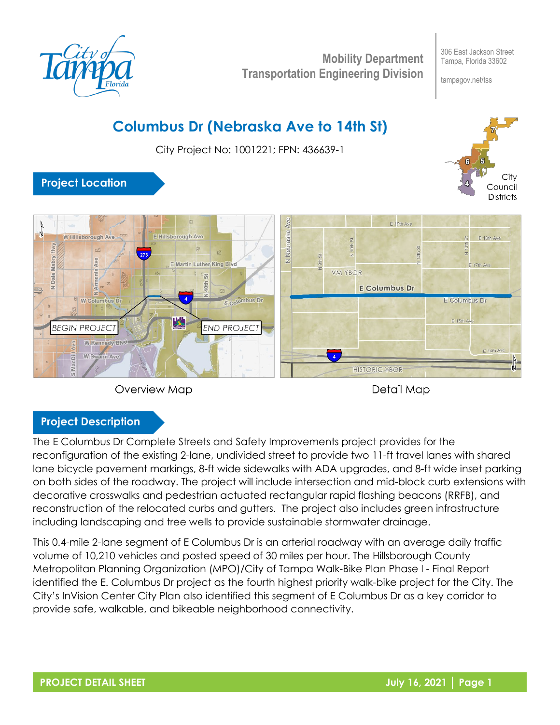

**Mobility Department Transportation Engineering Division**

306 East Jackson Street Tampa, Florida 33602

tampagov.net/tss

# **Columbus Dr (Nebraska Ave to 14th St)**

City Project No: 1001221; FPN: 436639-1



# **Project Location**





Detail Map

## **Project Description**

The E Columbus Dr Complete Streets and Safety Improvements project provides for the reconfiguration of the existing 2-lane, undivided street to provide two 11-ft travel lanes with shared lane bicycle pavement markings, 8-ft wide sidewalks with ADA upgrades, and 8-ft wide inset parking on both sides of the roadway. The project will include intersection and mid-block curb extensions with decorative crosswalks and pedestrian actuated rectangular rapid flashing beacons (RRFB), and reconstruction of the relocated curbs and gutters. The project also includes green infrastructure including landscaping and tree wells to provide sustainable stormwater drainage.

This 0.4-mile 2-lane segment of E Columbus Dr is an arterial roadway with an average daily traffic volume of 10,210 vehicles and posted speed of 30 miles per hour. The Hillsborough County Metropolitan Planning Organization (MPO)/City of Tampa Walk-Bike Plan Phase I - Final Report identified the E. Columbus Dr project as the fourth highest priority walk-bike project for the City. The City's InVision Center City Plan also identified this segment of E Columbus Dr as a key corridor to provide safe, walkable, and bikeable neighborhood connectivity.